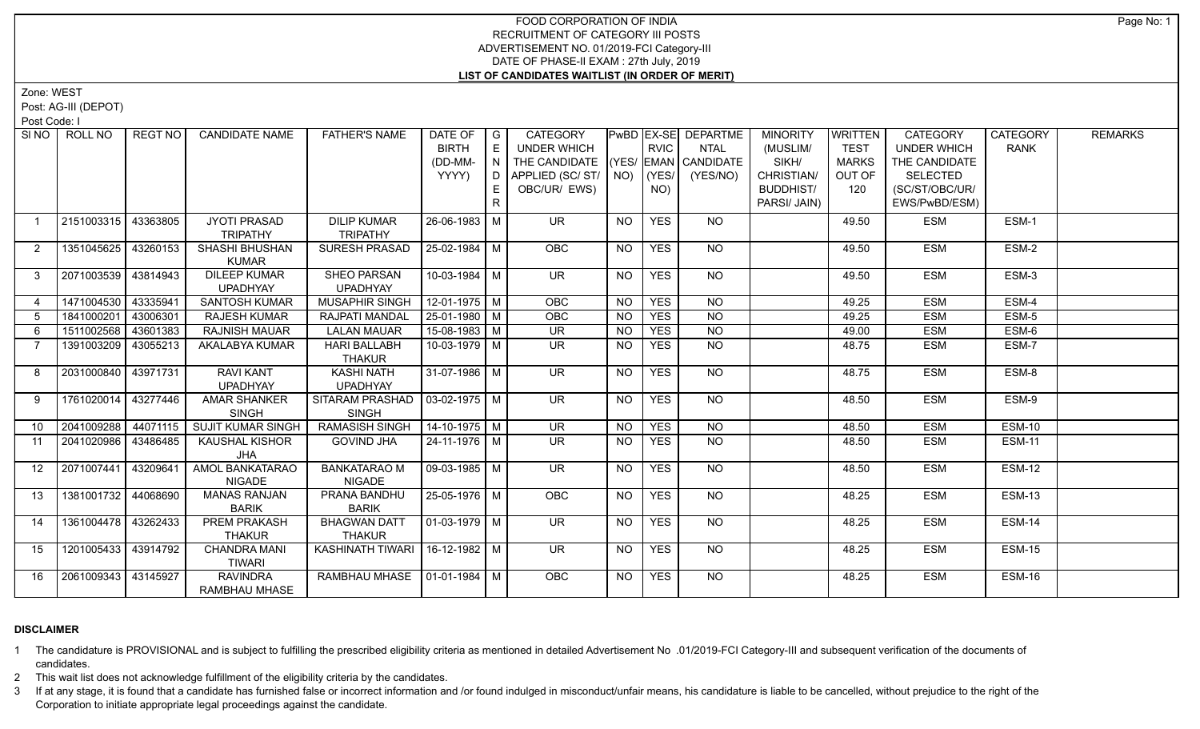Zone: WEST

Post: AG-III (DEPOT)

Post Code: I

| SI NO 1        | ROLL NO             | REGT NO  | <b>CANDIDATE NAME</b>    | <b>FATHER'S NAME</b>              | DATE OF               | $\overline{\phantom{a}}$ G | <b>CATEGORY</b>                    |           |             | PwBD EX-SE DEPARTME | <b>MINORITY</b>  | WRITTEN      | <b>CATEGORY</b>    | <b>CATEGORY</b> | <b>REMARKS</b> |
|----------------|---------------------|----------|--------------------------|-----------------------------------|-----------------------|----------------------------|------------------------------------|-----------|-------------|---------------------|------------------|--------------|--------------------|-----------------|----------------|
|                |                     |          |                          |                                   | <b>BIRTH</b>          | E                          | <b>UNDER WHICH</b>                 |           | <b>RVIC</b> | <b>NTAL</b>         | (MUSLIM/         | <b>TEST</b>  | <b>UNDER WHICH</b> | <b>RANK</b>     |                |
|                |                     |          |                          |                                   | (DD-MM-               | l N                        | THE CANDIDATE (YES/ EMAN CANDIDATE |           |             |                     | SIKH/            | <b>MARKS</b> | THE CANDIDATE      |                 |                |
|                |                     |          |                          |                                   | YYYY)                 |                            | D APPLIED (SC/ ST/   NO)   (YES/   |           |             | (YES/NO)            | CHRISTIAN/       | OUT OF       | SELECTED           |                 |                |
|                |                     |          |                          |                                   |                       | E                          | OBC/UR/ EWS)                       |           | NO)         |                     | <b>BUDDHIST/</b> | 120          | (SC/ST/OBC/UR/     |                 |                |
|                |                     |          |                          |                                   |                       | R.                         |                                    |           |             |                     | PARSI/ JAIN)     |              | EWS/PwBD/ESM)      |                 |                |
| $\overline{1}$ | 2151003315          | 43363805 | <b>JYOTI PRASAD</b>      | <b>DILIP KUMAR</b>                | 26-06-1983 M          |                            | <b>UR</b>                          | <b>NO</b> | <b>YES</b>  | NO.                 |                  | 49.50        | <b>ESM</b>         | ESM-1           |                |
|                |                     |          | <b>TRIPATHY</b>          | <b>TRIPATHY</b>                   |                       |                            |                                    |           |             |                     |                  |              |                    |                 |                |
| $\overline{2}$ | 1351045625          | 43260153 | SHASHI BHUSHAN           | SURESH PRASAD                     | 25-02-1984 M          |                            | OBC                                | <b>NO</b> | <b>YES</b>  | <b>NO</b>           |                  | 49.50        | <b>ESM</b>         | ESM-2           |                |
|                |                     |          | <b>KUMAR</b>             |                                   |                       |                            |                                    |           |             |                     |                  |              |                    |                 |                |
| 3              | 2071003539 43814943 |          | <b>DILEEP KUMAR</b>      | <b>SHEO PARSAN</b>                | 10-03-1984 M          |                            | $\overline{\mathsf{UR}}$           | <b>NO</b> | <b>YES</b>  | NO                  |                  | 49.50        | <b>ESM</b>         | ESM-3           |                |
|                |                     |          | <b>UPADHYAY</b>          | <b>UPADHYAY</b>                   |                       |                            |                                    |           |             |                     |                  |              |                    |                 |                |
| $\overline{4}$ | 1471004530          | 43335941 | <b>SANTOSH KUMAR</b>     | <b>MUSAPHIR SINGH</b>             | $12-01-1975$ M        |                            | OBC                                | <b>NO</b> | <b>YES</b>  | NO                  |                  | 49.25        | <b>ESM</b>         | ESM-4           |                |
| 5              | 1841000201          | 43006301 | <b>RAJESH KUMAR</b>      | RAJPATI MANDAL                    | $25-01-1980$ M        |                            | OBC                                | <b>NO</b> | <b>YES</b>  | $N$ <sup>O</sup>    |                  | 49.25        | <b>ESM</b>         | ESM-5           |                |
| 6              | 1511002568          | 43601383 | <b>RAJNISH MAUAR</b>     | <b>LALAN MAUAR</b>                | 15-08-1983 M          |                            | <b>UR</b>                          | <b>NO</b> | <b>YES</b>  | $\overline{NO}$     |                  | 49.00        | <b>ESM</b>         | ESM-6           |                |
| $\overline{7}$ | 1391003209          | 43055213 | AKALABYA KUMAR           | <b>HARI BALLABH</b>               | 10-03-1979 M          |                            | $\overline{\mathsf{UR}}$           | NO.       | <b>YES</b>  | $\overline{NO}$     |                  | 48.75        | <b>ESM</b>         | ESM-7           |                |
|                |                     |          |                          | <b>THAKUR</b>                     |                       |                            |                                    |           |             |                     |                  |              |                    |                 |                |
| 8              | 2031000840 43971731 |          | <b>RAVI KANT</b>         | KASHI NATH                        | $31-07-1986$ M        |                            | $\overline{\mathsf{UR}}$           | <b>NO</b> | <b>YES</b>  | $N$ O               |                  | 48.75        | <b>ESM</b>         | ESM-8           |                |
|                |                     |          | <b>UPADHYAY</b>          | <b>UPADHYAY</b>                   |                       |                            |                                    |           |             |                     |                  |              |                    |                 |                |
| 9              | 1761020014          | 43277446 | <b>AMAR SHANKER</b>      | SITARAM PRASHAD   03-02-1975   M  |                       |                            | $\overline{\mathsf{UR}}$           | <b>NO</b> | <b>YES</b>  | NO                  |                  | 48.50        | <b>ESM</b>         | ESM-9           |                |
|                |                     |          | <b>SINGH</b>             | <b>SINGH</b>                      |                       |                            |                                    |           |             |                     |                  |              |                    |                 |                |
| 10             | 2041009288          | 44071115 | <b>SUJIT KUMAR SINGH</b> | <b>RAMASISH SINGH</b>             | $14 - 10 - 1975$ M    |                            | <b>UR</b>                          | <b>NO</b> | <b>YES</b>  | <b>NO</b>           |                  | 48.50        | <b>ESM</b>         | <b>ESM-10</b>   |                |
| 11             | 2041020986          | 43486485 | <b>KAUSHAL KISHOR</b>    | <b>GOVIND JHA</b>                 | 24-11-1976 M          |                            | <b>UR</b>                          | <b>NO</b> | <b>YES</b>  | <b>NO</b>           |                  | 48.50        | <b>ESM</b>         | <b>ESM-11</b>   |                |
|                |                     |          | <b>JHA</b>               |                                   |                       |                            |                                    |           |             |                     |                  |              |                    |                 |                |
| 12             | 2071007441          | 43209641 | <b>AMOL BANKATARAO</b>   | <b>BANKATARAO M</b>               | 09-03-1985 M          |                            | $\overline{\mathsf{UR}}$           | <b>NO</b> | <b>YES</b>  | $N$ <sup>O</sup>    |                  | 48.50        | <b>ESM</b>         | <b>ESM-12</b>   |                |
|                |                     |          | <b>NIGADE</b>            | <b>NIGADE</b>                     |                       |                            |                                    |           |             |                     |                  |              |                    |                 |                |
| 13             | 1381001732 44068690 |          | <b>MANAS RANJAN</b>      | PRANA BANDHU                      | 25-05-1976   M        |                            | <b>OBC</b>                         | <b>NO</b> | <b>YES</b>  | NO                  |                  | 48.25        | <b>ESM</b>         | <b>ESM-13</b>   |                |
|                |                     |          | <b>BARIK</b>             | <b>BARIK</b>                      |                       |                            |                                    |           |             |                     |                  |              |                    |                 |                |
| 14             | 1361004478 43262433 |          | <b>PREM PRAKASH</b>      | <b>BHAGWAN DATT</b>               | $\sqrt{01-03-1979}$ M |                            | $\overline{\mathsf{UR}}$           | <b>NO</b> | <b>YES</b>  | $N$ O               |                  | 48.25        | <b>ESM</b>         | <b>ESM-14</b>   |                |
|                |                     |          | <b>THAKUR</b>            | <b>THAKUR</b>                     |                       |                            |                                    |           |             |                     |                  |              |                    |                 |                |
| 15             | 1201005433 43914792 |          | <b>CHANDRA MANI</b>      | KASHINATH TIWARI   16-12-1982   M |                       |                            | $\overline{\mathsf{UR}}$           | <b>NO</b> | <b>YES</b>  | NO                  |                  | 48.25        | <b>ESM</b>         | <b>ESM-15</b>   |                |
|                |                     |          | <b>TIWARI</b>            |                                   |                       |                            |                                    |           |             |                     |                  |              |                    |                 |                |
| 16             | 2061009343 43145927 |          | <b>RAVINDRA</b>          | RAMBHAU MHASE 01-01-1984 M        |                       |                            | OBC                                | <b>NO</b> | <b>YES</b>  | <b>NO</b>           |                  | 48.25        | <b>ESM</b>         | <b>ESM-16</b>   |                |
|                |                     |          | <b>RAMBHAU MHASE</b>     |                                   |                       |                            |                                    |           |             |                     |                  |              |                    |                 |                |

# **DISCLAIMER**

1 The candidature is PROVISIONAL and is subject to fulfilling the prescribed eligibility criteria as mentioned in detailed Advertisement No .01/2019-FCI Category-III and subsequent verification of the documents of candidates.

2 This wait list does not acknowledge fulfillment of the eligibility criteria by the candidates.

3 If at any stage, it is found that a candidate has furnished false or incorrect information and /or found indulged in misconduct/unfair means, his candidature is liable to be cancelled, without prejudice to the right of t Corporation to initiate appropriate legal proceedings against the candidate.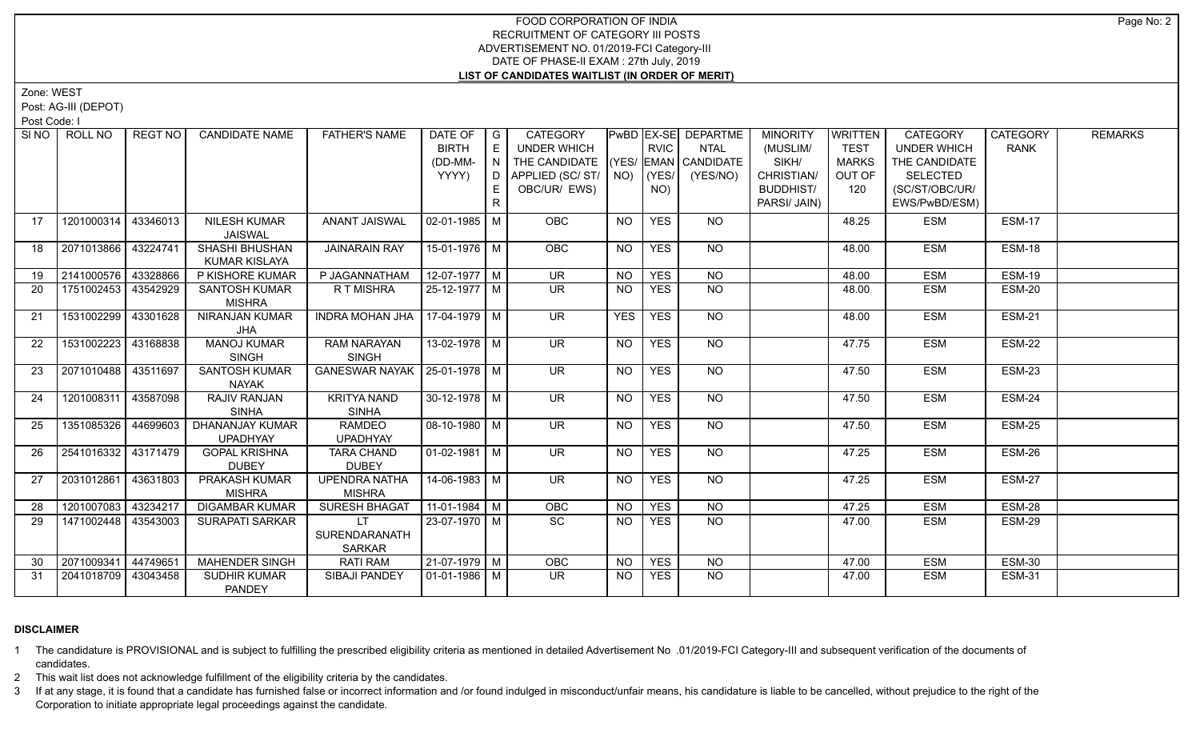Zone: WEST

Post: AG-III (DEPOT)

Post Code: I

|                   | SINO   ROLL NO      | REGT NO  | <b>CANDIDATE NAME</b>                  | <b>FATHER'S NAME</b>                  | DATE OF<br><b>BIRTH</b><br>(DD-MM-<br>YYYY) | $\overline{\phantom{a}}$ $\overline{\phantom{a}}$<br>E<br>N<br>D<br>E | <b>CATEGORY</b><br>UNDER WHICH<br>THE CANDIDATE<br>APPLIED (SC/ST/<br>OBC/UR/ EWS) |                 | <b>RVIC</b><br>$NO)$ (YES/<br>NO) | <b>PwBD EX-SE DEPARTME</b><br><b>NTAL</b><br>(YES/ EMAN CANDIDATE<br>(YES/NO) | <b>MINORITY</b><br>(MUSLIM/<br>SIKH/<br>CHRISTIAN/<br><b>BUDDHIST/</b> | <b>WRITTEN</b><br><b>TEST</b><br><b>MARKS</b><br>OUT OF<br>120 | <b>CATEGORY</b><br><b>UNDER WHICH</b><br>THE CANDIDATE<br><b>SELECTED</b><br>(SC/ST/OBC/UR/ | <b>CATEGORY</b><br><b>RANK</b> | <b>REMARKS</b> |
|-------------------|---------------------|----------|----------------------------------------|---------------------------------------|---------------------------------------------|-----------------------------------------------------------------------|------------------------------------------------------------------------------------|-----------------|-----------------------------------|-------------------------------------------------------------------------------|------------------------------------------------------------------------|----------------------------------------------------------------|---------------------------------------------------------------------------------------------|--------------------------------|----------------|
|                   |                     |          |                                        |                                       |                                             | $\mathsf{R}$                                                          |                                                                                    |                 |                                   |                                                                               | PARSI/ JAIN)                                                           |                                                                | EWS/PwBD/ESM)                                                                               |                                |                |
| 17                | 1201000314          | 43346013 | <b>NILESH KUMAR</b><br><b>JAISWAL</b>  | <b>ANANT JAISWAL</b>                  | $02-01-1985$ M                              |                                                                       | OBC                                                                                | <b>NO</b>       | <b>YES</b>                        | NO.                                                                           |                                                                        | 48.25                                                          | <b>ESM</b>                                                                                  | <b>ESM-17</b>                  |                |
| 18                | 2071013866 43224741 |          | <b>SHASHI BHUSHAN</b><br>KUMAR KISLAYA | <b>JAINARAIN RAY</b>                  | 15-01-1976 M                                |                                                                       | OBC                                                                                | <b>NO</b>       | <b>YES</b>                        | NO                                                                            |                                                                        | 48.00                                                          | <b>ESM</b>                                                                                  | <b>ESM-18</b>                  |                |
| 19                | 2141000576          | 43328866 | P KISHORE KUMAR                        | P JAGANNATHAM                         | $12-07-1977$ M                              |                                                                       | $\overline{\mathsf{UR}}$                                                           | $\overline{NO}$ | <b>YES</b>                        | $\overline{NQ}$                                                               |                                                                        | 48.00                                                          | <b>ESM</b>                                                                                  | <b>ESM-19</b>                  |                |
| 20                | 1751002453 43542929 |          | <b>SANTOSH KUMAR</b><br><b>MISHRA</b>  | <b>RTMISHRA</b>                       | 25-12-1977 M                                |                                                                       | $\overline{\mathsf{UR}}$                                                           | <b>NO</b>       | <b>YES</b>                        | NO                                                                            |                                                                        | 48.00                                                          | <b>ESM</b>                                                                                  | <b>ESM-20</b>                  |                |
| 21                | 1531002299 43301628 |          | <b>NIRANJAN KUMAR</b><br><b>JHA</b>    | <b>INDRA MOHAN JHA</b>                | 17-04-1979 M                                |                                                                       | $\overline{\mathsf{UR}}$                                                           | <b>YES</b>      | <b>YES</b>                        | $N$ <sup>O</sup>                                                              |                                                                        | 48.00                                                          | <b>ESM</b>                                                                                  | <b>ESM-21</b>                  |                |
| $22 \overline{ }$ | 1531002223          | 43168838 | <b>MANOJ KUMAR</b><br><b>SINGH</b>     | <b>RAM NARAYAN</b><br><b>SINGH</b>    | 13-02-1978 M                                |                                                                       | <b>UR</b>                                                                          | <b>NO</b>       | <b>YES</b>                        | NO                                                                            |                                                                        | 47.75                                                          | <b>ESM</b>                                                                                  | ESM-22                         |                |
| 23                | 2071010488 43511697 |          | <b>SANTOSH KUMAR</b><br>NAYAK          | GANESWAR NAYAK   25-01-1978   M       |                                             |                                                                       | UR.                                                                                | NO.             | <b>YES</b>                        | NO                                                                            |                                                                        | 47.50                                                          | <b>ESM</b>                                                                                  | <b>ESM-23</b>                  |                |
| 24                | 1201008311 43587098 |          | RAJIV RANJAN<br><b>SINHA</b>           | <b>KRITYA NAND</b><br><b>SINHA</b>    | $30-12-1978$ M                              |                                                                       | <b>UR</b>                                                                          | NO.             | <b>YES</b>                        | <b>NO</b>                                                                     |                                                                        | 47.50                                                          | <b>ESM</b>                                                                                  | ESM-24                         |                |
| 25                | 1351085326          | 44699603 | DHANANJAY KUMAR<br><b>UPADHYAY</b>     | RAMDEO<br><b>UPADHYAY</b>             | $08-10-1980$ M                              |                                                                       | UR.                                                                                | NO.             | <b>YES</b>                        | NO                                                                            |                                                                        | 47.50                                                          | <b>ESM</b>                                                                                  | ESM-25                         |                |
| 26                | 2541016332 43171479 |          | <b>GOPAL KRISHNA</b><br><b>DUBEY</b>   | <b>TARA CHAND</b><br><b>DUBEY</b>     | $\boxed{01-02-1981}$ M                      |                                                                       | $\overline{\mathsf{UR}}$                                                           | N <sub>O</sub>  | <b>YES</b>                        | $N$ <sup>O</sup>                                                              |                                                                        | 47.25                                                          | <b>ESM</b>                                                                                  | <b>ESM-26</b>                  |                |
| 27                | 2031012861          | 43631803 | PRAKASH KUMAR<br><b>MISHRA</b>         | <b>UPENDRA NATHA</b><br><b>MISHRA</b> | 14-06-1983 M                                |                                                                       | UR.                                                                                | NO.             | <b>YES</b>                        | NO                                                                            |                                                                        | 47.25                                                          | <b>ESM</b>                                                                                  | ESM-27                         |                |
| 28                | 1201007083          | 43234217 | <b>DIGAMBAR KUMAR</b>                  | <b>SURESH BHAGAT</b>                  | $11-01-1984$ M                              |                                                                       | <b>OBC</b>                                                                         | NO              | <b>YES</b>                        | NO                                                                            |                                                                        | 47.25                                                          | <b>ESM</b>                                                                                  | <b>ESM-28</b>                  |                |
| 29                | 1471002448 43543003 |          | <b>SURAPATI SARKAR</b>                 | LT.<br>SURENDARANATH<br><b>SARKAR</b> | 23-07-1970 M                                |                                                                       | SC                                                                                 | NO.             | <b>YES</b>                        | $N$ O                                                                         |                                                                        | 47.00                                                          | <b>ESM</b>                                                                                  | ESM-29                         |                |
| 30                | 2071009341          | 44749651 | <b>MAHENDER SINGH</b>                  | <b>RATI RAM</b>                       | 21-07-1979 M                                |                                                                       | <b>OBC</b>                                                                         | <b>NO</b>       | <b>YES</b>                        | <b>NO</b>                                                                     |                                                                        | 47.00                                                          | <b>ESM</b>                                                                                  | <b>ESM-30</b>                  |                |
| 31                | 2041018709          | 43043458 | <b>SUDHIR KUMAR</b><br><b>PANDEY</b>   | <b>SIBAJI PANDEY</b>                  | l 01-01-1986 l M                            |                                                                       | UR.                                                                                | NO.             | <b>YES</b>                        | <b>NO</b>                                                                     |                                                                        | 47.00                                                          | <b>ESM</b>                                                                                  | <b>ESM-31</b>                  |                |

### **DISCLAIMER**

1 The candidature is PROVISIONAL and is subject to fulfilling the prescribed eligibility criteria as mentioned in detailed Advertisement No .01/2019-FCI Category-III and subsequent verification of the documents of candidates.

2 This wait list does not acknowledge fulfillment of the eligibility criteria by the candidates.

3 If at any stage, it is found that a candidate has furnished false or incorrect information and /or found indulged in misconduct/unfair means, his candidature is liable to be cancelled, without prejudice to the right of t Corporation to initiate appropriate legal proceedings against the candidate.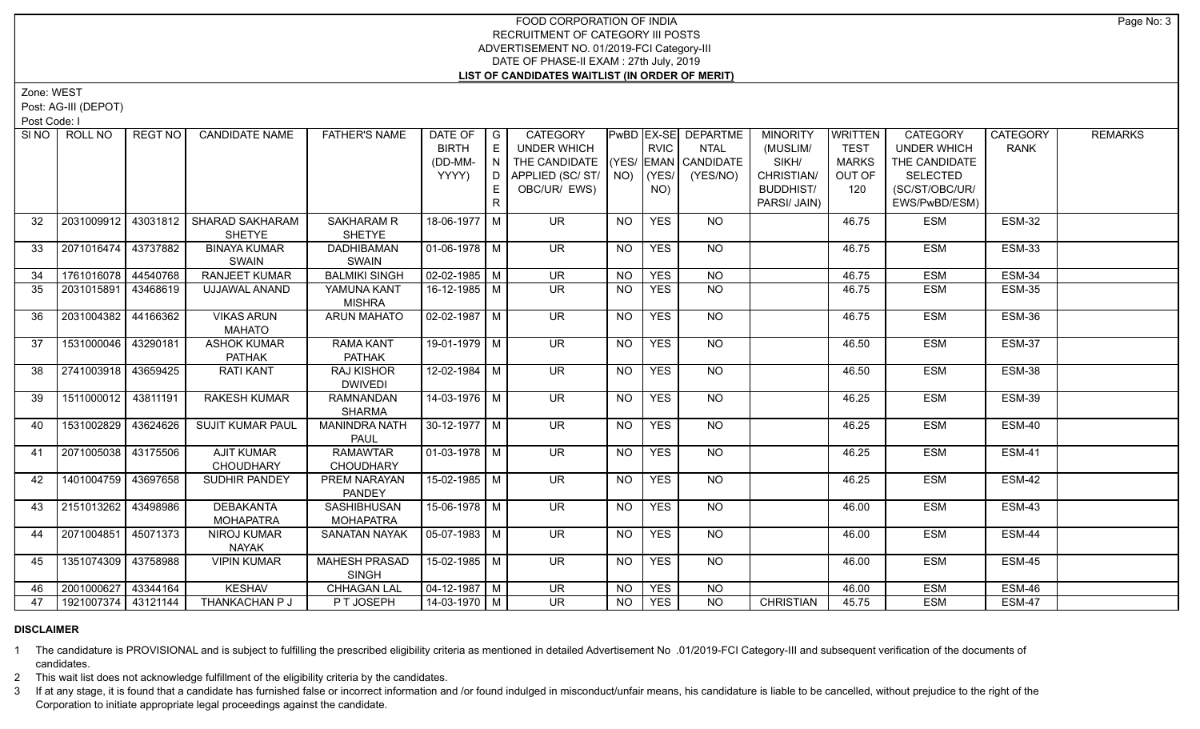Zone: WEST

Post: AG-III (DEPOT)

Post Code: I

| SINO | ROLL NO             | <b>REGT NO</b> | <b>CANDIDATE NAME</b>   | <b>FATHER'S NAME</b> | DATE OF               | $\overline{\phantom{a}}$ G | <b>CATEGORY</b>                    |           |             | PwBD EX-SE DEPARTME | <b>MINORITY</b>  | WRITTEN      | <b>CATEGORY</b>    | <b>CATEGORY</b> | <b>REMARKS</b> |
|------|---------------------|----------------|-------------------------|----------------------|-----------------------|----------------------------|------------------------------------|-----------|-------------|---------------------|------------------|--------------|--------------------|-----------------|----------------|
|      |                     |                |                         |                      | <b>BIRTH</b>          | E                          | UNDER WHICH                        |           | <b>RVIC</b> | <b>NTAL</b>         | (MUSLIM/         | <b>TEST</b>  | <b>UNDER WHICH</b> | <b>RANK</b>     |                |
|      |                     |                |                         |                      | (DD-MM-               | N                          | THE CANDIDATE (YES/ EMAN CANDIDATE |           |             |                     | SIKH/            | <b>MARKS</b> | THE CANDIDATE      |                 |                |
|      |                     |                |                         |                      | YYYY)                 |                            | $D$ APPLIED (SC/ST/ $\vert$ NO)    |           | $ $ (YES/   | (YES/NO)            | CHRISTIAN/       | OUT OF       | <b>SELECTED</b>    |                 |                |
|      |                     |                |                         |                      |                       |                            | OBC/UR/ EWS)                       |           | NO)         |                     | <b>BUDDHIST/</b> | 120          | (SC/ST/OBC/UR/     |                 |                |
|      |                     |                |                         |                      |                       | R.                         |                                    |           |             |                     | PARSI/ JAIN)     |              | EWS/PwBD/ESM)      |                 |                |
| 32   | 2031009912          | 43031812       | <b>SHARAD SAKHARAM</b>  | <b>SAKHARAM R</b>    | 18-06-1977   M        |                            | <b>UR</b>                          | <b>NO</b> | <b>YES</b>  | NO                  |                  | 46.75        | <b>ESM</b>         | <b>ESM-32</b>   |                |
|      |                     |                | <b>SHETYE</b>           | <b>SHETYE</b>        |                       |                            |                                    |           |             |                     |                  |              |                    |                 |                |
| 33   | 2071016474 43737882 |                | <b>BINAYA KUMAR</b>     | <b>DADHIBAMAN</b>    | 01-06-1978 M          |                            | <b>UR</b>                          | <b>NO</b> | <b>YES</b>  | <b>NO</b>           |                  | 46.75        | <b>ESM</b>         | <b>ESM-33</b>   |                |
|      |                     |                | SWAIN                   | SWAIN                |                       |                            |                                    |           |             |                     |                  |              |                    |                 |                |
| 34   | 1761016078 44540768 |                | RANJEET KUMAR           | <b>BALMIKI SINGH</b> | $02 - 02 - 1985$ M    |                            | $\overline{\mathsf{UR}}$           | <b>NO</b> | <b>YES</b>  | $\overline{NO}$     |                  | 46.75        | <b>ESM</b>         | <b>ESM-34</b>   |                |
| 35   | 2031015891 43468619 |                | UJJAWAL ANAND           | YAMUNA KANT          | $16 - 12 - 1985$ M    |                            | $\overline{\mathsf{UR}}$           | <b>NO</b> | <b>YES</b>  | <b>NO</b>           |                  | 46.75        | <b>ESM</b>         | <b>ESM-35</b>   |                |
|      |                     |                |                         | <b>MISHRA</b>        |                       |                            |                                    |           |             |                     |                  |              |                    |                 |                |
| 36   | 2031004382 44166362 |                | <b>VIKAS ARUN</b>       | <b>ARUN MAHATO</b>   | $\sqrt{02-02-1987}$ M |                            | $\overline{\mathsf{UR}}$           | <b>NO</b> | <b>YES</b>  | $N$ <sup>O</sup>    |                  | 46.75        | <b>ESM</b>         | ESM-36          |                |
|      |                     |                | <b>MAHATO</b>           |                      |                       |                            |                                    |           |             |                     |                  |              |                    |                 |                |
| 37   | 1531000046 43290181 |                | <b>ASHOK KUMAR</b>      | <b>RAMA KANT</b>     | $19-01-1979$ M        |                            | $\overline{\mathsf{UR}}$           | <b>NO</b> | <b>YES</b>  | $N$ O               |                  | 46.50        | <b>ESM</b>         | <b>ESM-37</b>   |                |
|      |                     |                | <b>PATHAK</b>           | <b>PATHAK</b>        |                       |                            |                                    |           |             |                     |                  |              |                    |                 |                |
| 38   | 2741003918 43659425 |                | <b>RATI KANT</b>        | <b>RAJ KISHOR</b>    | $12 - 02 - 1984$ M    |                            | <b>UR</b>                          | <b>NO</b> | <b>YES</b>  | NO                  |                  | 46.50        | <b>ESM</b>         | <b>ESM-38</b>   |                |
|      |                     |                |                         | <b>DWIVEDI</b>       |                       |                            |                                    |           |             |                     |                  |              |                    |                 |                |
| 39   | 1511000012 43811191 |                | <b>RAKESH KUMAR</b>     | <b>RAMNANDAN</b>     | $14 - 03 - 1976$ M    |                            | <b>UR</b>                          | <b>NO</b> | <b>YES</b>  | <b>NO</b>           |                  | 46.25        | <b>ESM</b>         | <b>ESM-39</b>   |                |
|      |                     |                |                         | <b>SHARMA</b>        |                       |                            |                                    |           |             |                     |                  |              |                    |                 |                |
| 40   | 1531002829 43624626 |                | <b>SUJIT KUMAR PAUL</b> | <b>MANINDRA NATH</b> | $30-12-1977$ M        |                            | <b>UR</b>                          | <b>NO</b> | <b>YES</b>  | NO                  |                  | 46.25        | <b>ESM</b>         | ESM-40          |                |
|      |                     |                |                         | <b>PAUL</b>          |                       |                            |                                    |           |             |                     |                  |              |                    |                 |                |
| 41   | 2071005038 43175506 |                | <b>AJIT KUMAR</b>       | <b>RAMAWTAR</b>      | 01-03-1978   M        |                            | <b>UR</b>                          | <b>NO</b> | <b>YES</b>  | NO                  |                  | 46.25        | <b>ESM</b>         | ESM-41          |                |
|      |                     |                | CHOUDHARY               | <b>CHOUDHARY</b>     |                       |                            |                                    |           |             |                     |                  |              |                    |                 |                |
| 42   | 1401004759 43697658 |                | <b>SUDHIR PANDEY</b>    | PREM NARAYAN         | 15-02-1985   M        |                            | $\overline{\mathsf{UR}}$           | <b>NO</b> | <b>YES</b>  | NO                  |                  | 46.25        | <b>ESM</b>         | ESM-42          |                |
|      |                     |                |                         | <b>PANDEY</b>        |                       |                            |                                    |           |             |                     |                  |              |                    |                 |                |
| 43   | 2151013262 43498986 |                | <b>DEBAKANTA</b>        | <b>SASHIBHUSAN</b>   | 15-06-1978 M          |                            | $\overline{\mathsf{UR}}$           | <b>NO</b> | <b>YES</b>  | $N$ O               |                  | 46.00        | <b>ESM</b>         | ESM-43          |                |
|      |                     |                | <b>MOHAPATRA</b>        | <b>MOHAPATRA</b>     |                       |                            |                                    |           |             |                     |                  |              |                    |                 |                |
| 44   | 2071004851 45071373 |                | NIROJ KUMAR             | <b>SANATAN NAYAK</b> | 05-07-1983 M          |                            | $\overline{\mathsf{UR}}$           | <b>NO</b> | <b>YES</b>  | <b>NO</b>           |                  | 46.00        | <b>ESM</b>         | <b>ESM-44</b>   |                |
|      |                     |                | <b>NAYAK</b>            |                      |                       |                            |                                    |           |             |                     |                  |              |                    |                 |                |
| 45   | 1351074309 43758988 |                | <b>VIPIN KUMAR</b>      | <b>MAHESH PRASAD</b> | $15 - 02 - 1985$ M    |                            | $\overline{\mathsf{UR}}$           | <b>NO</b> | <b>YES</b>  | $N$ <sup>O</sup>    |                  | 46.00        | <b>ESM</b>         | ESM-45          |                |
|      |                     |                |                         | <b>SINGH</b>         |                       |                            |                                    |           |             |                     |                  |              |                    |                 |                |
| 46   | 2001000627 43344164 |                | <b>KESHAV</b>           | <b>CHHAGAN LAL</b>   | $\sqrt{04-12-1987}$ M |                            | $\overline{\mathsf{UR}}$           | <b>NO</b> | <b>YES</b>  | N <sub>O</sub>      |                  | 46.00        | <b>ESM</b>         | <b>ESM-46</b>   |                |
| 47   | 1921007374 43121144 |                | THANKACHAN P J          | PT JOSEPH            | $14 - 03 - 1970$ M    |                            | UR.                                | <b>NO</b> | <b>YES</b>  | <b>NO</b>           | <b>CHRISTIAN</b> | 45.75        | <b>ESM</b>         | <b>ESM-47</b>   |                |

### **DISCLAIMER**

1 The candidature is PROVISIONAL and is subject to fulfilling the prescribed eligibility criteria as mentioned in detailed Advertisement No .01/2019-FCI Category-III and subsequent verification of the documents of candidates.

2 This wait list does not acknowledge fulfillment of the eligibility criteria by the candidates.

3 If at any stage, it is found that a candidate has furnished false or incorrect information and /or found indulged in misconduct/unfair means, his candidature is liable to be cancelled, without prejudice to the right of t Corporation to initiate appropriate legal proceedings against the candidate.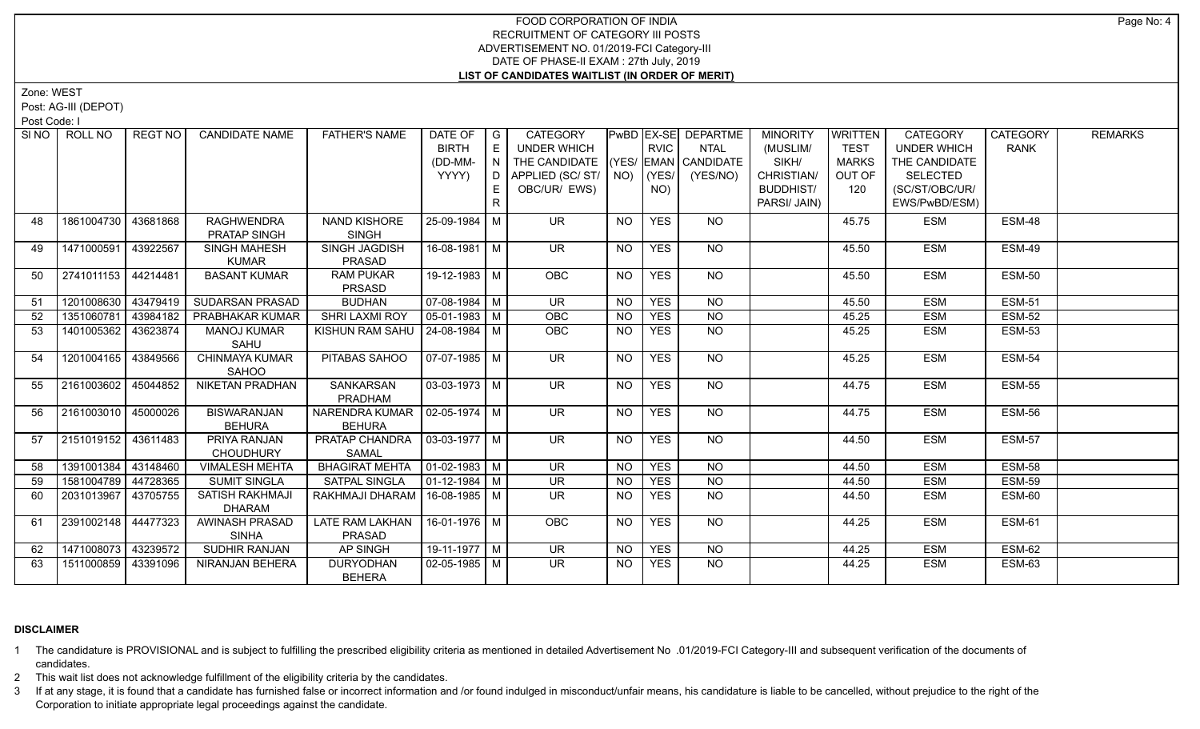Zone: WEST

Post: AG-III (DEPOT)

Post Code: I

|    | SINO ROLL NO          | REGT NO  | <b>CANDIDATE NAME</b>      | <b>FATHER'S NAME</b>             | DATE OF                      | $\overline{\phantom{a}}$ $\overline{\phantom{a}}$ | <b>CATEGORY</b>                    |           |             | <b>PwBD EX-SE DEPARTME</b> | <b>MINORITY</b>  | <b>WRITTEN</b> | <b>CATEGORY</b>    | <b>CATEGORY</b> | <b>REMARKS</b> |
|----|-----------------------|----------|----------------------------|----------------------------------|------------------------------|---------------------------------------------------|------------------------------------|-----------|-------------|----------------------------|------------------|----------------|--------------------|-----------------|----------------|
|    |                       |          |                            |                                  | <b>BIRTH</b>                 | E                                                 | <b>UNDER WHICH</b>                 |           | <b>RVIC</b> | <b>NTAL</b>                | (MUSLIM/         | <b>TEST</b>    | <b>UNDER WHICH</b> | <b>RANK</b>     |                |
|    |                       |          |                            |                                  | (DD-MM-                      |                                                   | THE CANDIDATE (YES/ EMAN CANDIDATE |           |             |                            | SIKH/            | <b>MARKS</b>   | THE CANDIDATE      |                 |                |
|    |                       |          |                            |                                  | YYYY)                        | $\Box$                                            | APPLIED (SC/ST/                    |           | $NO)$ (YES/ | (YES/NO)                   | CHRISTIAN/       | OUT OF         | <b>SELECTED</b>    |                 |                |
|    |                       |          |                            |                                  |                              | E                                                 | OBC/UR/ EWS)                       |           | NO)         |                            | <b>BUDDHIST/</b> | 120            | (SC/ST/OBC/UR/     |                 |                |
|    |                       |          |                            |                                  |                              | R                                                 |                                    |           |             |                            | PARSI/ JAIN)     |                | EWS/PwBD/ESM)      |                 |                |
| 48 | 1861004730   43681868 |          | <b>RAGHWENDRA</b>          | NAND KISHORE                     | 25-09-1984 M                 |                                                   | UR.                                | NO.       | <b>YES</b>  | NO                         |                  | 45.75          | <b>ESM</b>         | ESM-48          |                |
|    |                       |          | PRATAP SINGH               | <b>SINGH</b>                     |                              |                                                   |                                    |           |             |                            |                  |                |                    |                 |                |
| 49 | 1471000591            | 43922567 | SINGH MAHESH               | SINGH JAGDISH                    | 16-08-1981 M                 |                                                   | <b>UR</b>                          | <b>NO</b> | <b>YES</b>  | NO                         |                  | 45.50          | <b>ESM</b>         | ESM-49          |                |
|    |                       |          | <b>KUMAR</b>               | PRASAD                           |                              |                                                   |                                    |           |             |                            |                  |                |                    |                 |                |
| 50 | 2741011153 44214481   |          | <b>BASANT KUMAR</b>        | <b>RAM PUKAR</b>                 | $19-12-1983$ M               |                                                   | <b>OBC</b>                         | NO        | <b>YES</b>  | NO                         |                  | 45.50          | <b>ESM</b>         | <b>ESM-50</b>   |                |
|    |                       |          |                            | PRSASD                           |                              |                                                   |                                    |           |             |                            |                  |                |                    |                 |                |
| 51 | 1201008630 43479419   |          | SUDARSAN PRASAD            | <b>BUDHAN</b>                    | $07-08-1984$ M               |                                                   | UR.                                | NO        | <b>YES</b>  | <b>NO</b>                  |                  | 45.50          | <b>ESM</b>         | <b>ESM-51</b>   |                |
| 52 | 1351060781            | 43984182 | <b>PRABHAKAR KUMAR</b>     | <b>SHRI LAXMI ROY</b>            | $05 - 01 - 1983$ M           |                                                   | OBC                                | <b>NO</b> | <b>YES</b>  | $\overline{NO}$            |                  | 45.25          | <b>ESM</b>         | <b>ESM-52</b>   |                |
| 53 | 1401005362 43623874   |          | <b>MANOJ KUMAR</b><br>SAHU | KISHUN RAM SAHU   24-08-1984   M |                              |                                                   | <b>OBC</b>                         | NO.       | <b>YES</b>  | N <sub>O</sub>             |                  | 45.25          | <b>ESM</b>         | <b>ESM-53</b>   |                |
| 54 | 1201004165            | 43849566 | CHINMAYA KUMAR             | PITABAS SAHOO                    | $07-07-1985$ M               |                                                   | UR.                                | <b>NO</b> | <b>YES</b>  | NO                         |                  | 45.25          | <b>ESM</b>         | <b>ESM-54</b>   |                |
|    |                       |          | <b>SAHOO</b>               |                                  |                              |                                                   |                                    |           |             |                            |                  |                |                    |                 |                |
| 55 | 2161003602 45044852   |          | <b>NIKETAN PRADHAN</b>     | <b>SANKARSAN</b>                 | $03-03-1973$ M               |                                                   | $\overline{\mathsf{UR}}$           | <b>NO</b> | <b>YES</b>  | NO                         |                  | 44.75          | <b>ESM</b>         | <b>ESM-55</b>   |                |
|    |                       |          |                            | PRADHAM                          |                              |                                                   |                                    |           |             |                            |                  |                |                    |                 |                |
| 56 | 2161003010            | 45000026 | <b>BISWARANJAN</b>         | NARENDRA KUMAR   02-05-1974   M  |                              |                                                   | UR.                                | NO        | <b>YES</b>  | NO                         |                  | 44.75          | <b>ESM</b>         | ESM-56          |                |
|    |                       |          | <b>BEHURA</b>              | <b>BEHURA</b>                    |                              |                                                   |                                    |           |             |                            |                  |                |                    |                 |                |
| 57 | 2151019152 43611483   |          | PRIYA RANJAN               | PRATAP CHANDRA   03-03-1977   M  |                              |                                                   | $\overline{\mathsf{UR}}$           | <b>NO</b> | <b>YES</b>  | $N$ <sup>O</sup>           |                  | 44.50          | <b>ESM</b>         | <b>ESM-57</b>   |                |
|    |                       |          | <b>CHOUDHURY</b>           | <b>SAMAL</b>                     |                              |                                                   |                                    |           |             |                            |                  |                |                    |                 |                |
| 58 | 1391001384 43148460   |          | <b>VIMALESH MEHTA</b>      | BHAGIRAT MEHTA   01-02-1983   M  |                              |                                                   | <b>UR</b>                          | <b>NO</b> | <b>YES</b>  | <b>NO</b>                  |                  | 44.50          | <b>ESM</b>         | ESM-58          |                |
| 59 | 1581004789 44728365   |          | <b>SUMIT SINGLA</b>        | <b>SATPAL SINGLA</b>             | $\vert$ 01-12-1984 $\vert$ M |                                                   | <b>UR</b>                          | NO        | <b>YES</b>  | N <sub>O</sub>             |                  | 44.50          | <b>ESM</b>         | <b>ESM-59</b>   |                |
| 60 | 2031013967            | 43705755 | <b>SATISH RAKHMAJI</b>     | RAKHMAJI DHARAM                  | 16-08-1985   M               |                                                   | <b>UR</b>                          | NO.       | <b>YES</b>  | N <sub>O</sub>             |                  | 44.50          | <b>ESM</b>         | ESM-60          |                |
|    |                       |          | <b>DHARAM</b>              |                                  |                              |                                                   |                                    |           |             |                            |                  |                |                    |                 |                |
| 61 | 2391002148            | 44477323 | AWINASH PRASAD             | LATE RAM LAKHAN                  | 16-01-1976 M                 |                                                   | OBC                                | <b>NO</b> | <b>YES</b>  | $N$ O                      |                  | 44.25          | <b>ESM</b>         | <b>ESM-61</b>   |                |
|    |                       |          | <b>SINHA</b>               | PRASAD                           |                              |                                                   |                                    |           |             |                            |                  |                |                    |                 |                |
| 62 | 1471008073            | 43239572 | SUDHIR RANJAN              | AP SINGH                         | 19-11-1977 $\boxed{M}$       |                                                   | UR                                 | NO.       | <b>YES</b>  | <b>NO</b>                  |                  | 44.25          | <b>ESM</b>         | ESM-62          |                |
| 63 | 1511000859            | 43391096 | NIRANJAN BEHERA            | <b>DURYODHAN</b>                 | $02 - 05 - 1985$ M           |                                                   | $\overline{\mathsf{UR}}$           | <b>NO</b> | <b>YES</b>  | N <sub>O</sub>             |                  | 44.25          | <b>ESM</b>         | ESM-63          |                |
|    |                       |          |                            | <b>BEHERA</b>                    |                              |                                                   |                                    |           |             |                            |                  |                |                    |                 |                |

### **DISCLAIMER**

1 The candidature is PROVISIONAL and is subject to fulfilling the prescribed eligibility criteria as mentioned in detailed Advertisement No .01/2019-FCI Category-III and subsequent verification of the documents of candidates.

2 This wait list does not acknowledge fulfillment of the eligibility criteria by the candidates.

3 If at any stage, it is found that a candidate has furnished false or incorrect information and /or found indulged in misconduct/unfair means, his candidature is liable to be cancelled, without prejudice to the right of t Corporation to initiate appropriate legal proceedings against the candidate.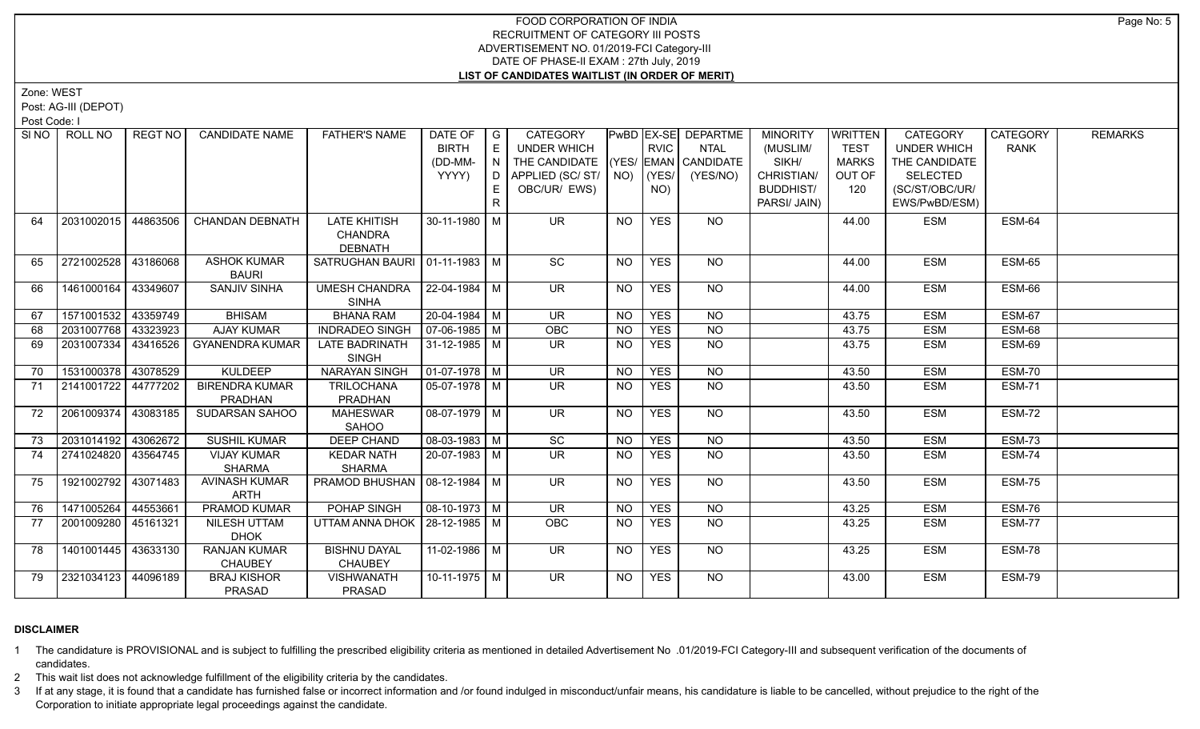Zone: WEST

Post: AG-III (DEPOT)

Post Code: I

|    | SINO   ROLL NO      | REGT NO I | <b>CANDIDATE NAME</b>  | <b>FATHER'S NAME</b>             | DATE OF               | $\overline{G}$ | <b>CATEGORY</b>          |                |             | PwBD   EX-SE   DEPARTME | <b>MINORITY</b>  | WRITTEN      | <b>CATEGORY</b>    | <b>CATEGORY</b> | <b>REMARKS</b> |
|----|---------------------|-----------|------------------------|----------------------------------|-----------------------|----------------|--------------------------|----------------|-------------|-------------------------|------------------|--------------|--------------------|-----------------|----------------|
|    |                     |           |                        |                                  | <b>BIRTH</b>          | E              | UNDER WHICH              |                | <b>RVIC</b> | <b>NTAL</b>             | (MUSLIM/         | <b>TEST</b>  | <b>UNDER WHICH</b> | <b>RANK</b>     |                |
|    |                     |           |                        |                                  | (DD-MM-               | N.             | THE CANDIDATE            |                |             | (YES/ EMAN CANDIDATE    | SIKH/            | <b>MARKS</b> | THE CANDIDATE      |                 |                |
|    |                     |           |                        |                                  | YYYY)                 | D.             | APPLIED (SC/ST/          | $NO)$ (YES/    |             | (YES/NO)                | CHRISTIAN/       | OUT OF       | <b>SELECTED</b>    |                 |                |
|    |                     |           |                        |                                  |                       | E.             | OBC/UR/ EWS)             |                | NO)         |                         | <b>BUDDHIST/</b> | 120          | (SC/ST/OBC/UR/     |                 |                |
|    |                     |           |                        |                                  |                       | $\mathsf{R}$   |                          |                |             |                         | PARSI/ JAIN)     |              | EWS/PwBD/ESM)      |                 |                |
| 64 | 2031002015          | 44863506  | <b>CHANDAN DEBNATH</b> | <b>LATE KHITISH</b>              | 30-11-1980 M          |                | <b>UR</b>                | <b>NO</b>      | <b>YES</b>  | NO                      |                  | 44.00        | <b>ESM</b>         | ESM-64          |                |
|    |                     |           |                        | CHANDRA                          |                       |                |                          |                |             |                         |                  |              |                    |                 |                |
|    |                     |           |                        | <b>DEBNATH</b>                   |                       |                |                          |                |             |                         |                  |              |                    |                 |                |
| 65 | 2721002528 43186068 |           | <b>ASHOK KUMAR</b>     | SATRUGHAN BAURI   01-11-1983   M |                       |                | $\overline{SC}$          | NO             | <b>YES</b>  | NO                      |                  | 44.00        | <b>ESM</b>         | $ESM-65$        |                |
|    |                     |           | <b>BAURI</b>           |                                  |                       |                |                          |                |             |                         |                  |              |                    |                 |                |
| 66 | 1461000164 43349607 |           | <b>SANJIV SINHA</b>    | <b>UMESH CHANDRA</b>             | $ 22 - 04 - 1984 $ M  |                | $\overline{\mathsf{UR}}$ | N <sub>O</sub> | <b>YES</b>  | NO                      |                  | 44.00        | <b>ESM</b>         | <b>ESM-66</b>   |                |
|    |                     |           |                        | <b>SINHA</b>                     |                       |                |                          |                |             |                         |                  |              |                    |                 |                |
| 67 | 1571001532 43359749 |           | <b>BHISAM</b>          | <b>BHANA RAM</b>                 | 20-04-1984 M          |                | <b>UR</b>                | <b>NO</b>      | <b>YES</b>  | <b>NO</b>               |                  | 43.75        | <b>ESM</b>         | <b>ESM-67</b>   |                |
| 68 | 2031007768 43323923 |           | <b>AJAY KUMAR</b>      | <b>INDRADEO SINGH</b>            | $\sqrt{07-06-1985}$ M |                | OBC                      | <b>NO</b>      | <b>YES</b>  | <b>NO</b>               |                  | 43.75        | <b>ESM</b>         | ESM-68          |                |
| 69 | 2031007334          | 43416526  | <b>GYANENDRA KUMAR</b> | LATE BADRINATH                   | 31-12-1985   M        |                | <b>UR</b>                | <b>NO</b>      | <b>YES</b>  | $\overline{NQ}$         |                  | 43.75        | <b>ESM</b>         | ESM-69          |                |
|    |                     |           |                        | <b>SINGH</b>                     |                       |                |                          |                |             |                         |                  |              |                    |                 |                |
| 70 | 1531000378 43078529 |           | <b>KULDEEP</b>         | <b>NARAYAN SINGH</b>             | $01-07-1978$ M        |                | $\overline{\mathsf{UR}}$ | <b>NO</b>      | <b>YES</b>  | $\overline{NQ}$         |                  | 43.50        | <b>ESM</b>         | ESM-70          |                |
| 71 | 2141001722 44777202 |           | <b>BIRENDRA KUMAR</b>  | <b>TRILOCHANA</b>                | $05-07-1978$ M        |                | $\overline{\mathsf{UR}}$ | NO.            | <b>YES</b>  | $N$ <sup>O</sup>        |                  | 43.50        | <b>ESM</b>         | <b>ESM-71</b>   |                |
|    |                     |           | PRADHAN                | PRADHAN                          |                       |                |                          |                |             |                         |                  |              |                    |                 |                |
| 72 | 2061009374 43083185 |           | SUDARSAN SAHOO         | <b>MAHESWAR</b>                  | $08-07-1979$ M        |                | $\overline{\mathsf{UR}}$ | $N$ O          | <b>YES</b>  | $N$ <sup>O</sup>        |                  | 43.50        | <b>ESM</b>         | ESM-72          |                |
|    |                     |           |                        | <b>SAHOO</b>                     |                       |                |                          |                |             |                         |                  |              |                    |                 |                |
| 73 | 2031014192 43062672 |           | <b>SUSHIL KUMAR</b>    | <b>DEEP CHAND</b>                | $08-03-1983$ M        |                | $\overline{SC}$          | <b>NO</b>      | <b>YES</b>  | NO                      |                  | 43.50        | <b>ESM</b>         | ESM-73          |                |
| 74 | 2741024820 43564745 |           | <b>VIJAY KUMAR</b>     | <b>KEDAR NATH</b>                | $20-07-1983$ M        |                | $\overline{\mathsf{UR}}$ | <b>NO</b>      | <b>YES</b>  | N <sub>O</sub>          |                  | 43.50        | <b>ESM</b>         | <b>ESM-74</b>   |                |
|    |                     |           | <b>SHARMA</b>          | <b>SHARMA</b>                    |                       |                |                          |                |             |                         |                  |              |                    |                 |                |
| 75 | 1921002792 43071483 |           | AVINASH KUMAR          | PRAMOD BHUSHAN   08-12-1984   M  |                       |                | $\overline{\mathsf{UR}}$ | NO             | <b>YES</b>  | NO                      |                  | 43.50        | <b>ESM</b>         | ESM-75          |                |
|    |                     |           | ARTH                   |                                  |                       |                |                          |                |             |                         |                  |              |                    |                 |                |
| 76 | 1471005264          | 44553661  | PRAMOD KUMAR           | POHAP SINGH                      | 08-10-1973 M          |                | <b>UR</b>                | <b>NO</b>      | <b>YES</b>  | <b>NO</b>               |                  | 43.25        | <b>ESM</b>         | <b>ESM-76</b>   |                |
| 77 | 2001009280 45161321 |           | <b>NILESH UTTAM</b>    | UTTAM ANNA DHOK   28-12-1985   M |                       |                | <b>OBC</b>               | <b>NO</b>      | <b>YES</b>  | <b>NO</b>               |                  | 43.25        | <b>ESM</b>         | ESM-77          |                |
|    |                     |           | <b>DHOK</b>            |                                  |                       |                |                          |                |             |                         |                  |              |                    |                 |                |
| 78 | 1401001445 43633130 |           | <b>RANJAN KUMAR</b>    | <b>BISHNU DAYAL</b>              | 11-02-1986 M          |                | <b>UR</b>                | NO             | <b>YES</b>  | NO                      |                  | 43.25        | <b>ESM</b>         | ESM-78          |                |
|    |                     |           | <b>CHAUBEY</b>         | <b>CHAUBEY</b>                   |                       |                |                          |                |             |                         |                  |              |                    |                 |                |
| 79 | 2321034123 44096189 |           | <b>BRAJ KISHOR</b>     | <b>VISHWANATH</b>                | 10-11-1975 M          |                | <b>UR</b>                | NO.            | <b>YES</b>  | NO                      |                  | 43.00        | <b>ESM</b>         | ESM-79          |                |
|    |                     |           | PRASAD                 | PRASAD                           |                       |                |                          |                |             |                         |                  |              |                    |                 |                |

### **DISCLAIMER**

1 The candidature is PROVISIONAL and is subject to fulfilling the prescribed eligibility criteria as mentioned in detailed Advertisement No .01/2019-FCI Category-III and subsequent verification of the documents of candidates.

2 This wait list does not acknowledge fulfillment of the eligibility criteria by the candidates.

3 If at any stage, it is found that a candidate has furnished false or incorrect information and /or found indulged in misconduct/unfair means, his candidature is liable to be cancelled, without prejudice to the right of t Corporation to initiate appropriate legal proceedings against the candidate.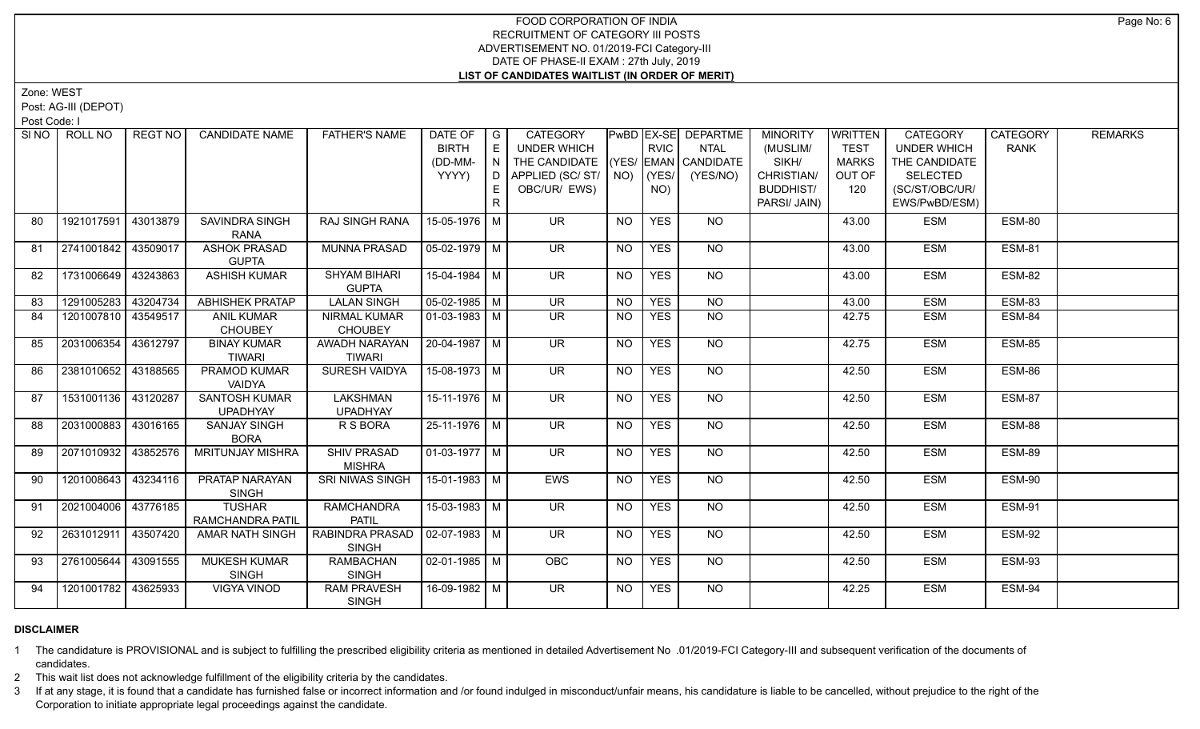Zone: WEST

Post: AG-III (DEPOT)

Post Code: I

| SI NO 1 | ROLL NO             | REGT NO  | <b>CANDIDATE NAME</b>                   | <b>FATHER'S NAME</b>                  | DATE OF<br><b>BIRTH</b><br>(DD-MM- | $\overline{\phantom{a}}$<br>E<br>$\overline{N}$ | <b>CATEGORY</b><br><b>UNDER WHICH</b><br>THE CANDIDATE |                | <b>RVIC</b>      | PwBD   EX-SE   DEPARTME<br>NTAL<br>(YES/ EMAN CANDIDATE | <b>MINORITY</b><br>(MUSLIM/<br>SIKH/           | WRITTEN<br><b>TEST</b><br><b>MARKS</b> | <b>CATEGORY</b><br><b>UNDER WHICH</b><br>THE CANDIDATE | <b>CATEGORY</b><br><b>RANK</b> | <b>REMARKS</b> |
|---------|---------------------|----------|-----------------------------------------|---------------------------------------|------------------------------------|-------------------------------------------------|--------------------------------------------------------|----------------|------------------|---------------------------------------------------------|------------------------------------------------|----------------------------------------|--------------------------------------------------------|--------------------------------|----------------|
|         |                     |          |                                         |                                       | YYYY)                              | l D.<br>E<br>R                                  | APPLIED (SC/ ST/   NO)<br>OBC/UR/ EWS)                 |                | $ $ (YES/<br>NO) | (YES/NO)                                                | CHRISTIAN/<br><b>BUDDHIST/</b><br>PARSI/ JAIN) | OUT OF<br>120                          | SELECTED<br>(SC/ST/OBC/UR/<br>EWS/PwBD/ESM)            |                                |                |
| 80      | 1921017591          | 43013879 | SAVINDRA SINGH<br><b>RANA</b>           | RAJ SINGH RANA                        | 15-05-1976 M                       |                                                 | <b>UR</b>                                              | <b>NO</b>      | <b>YES</b>       | NO                                                      |                                                | 43.00                                  | <b>ESM</b>                                             | ESM-80                         |                |
| 81      | 2741001842 43509017 |          | <b>ASHOK PRASAD</b><br><b>GUPTA</b>     | <b>MUNNA PRASAD</b>                   | 05-02-1979   M                     |                                                 | <b>UR</b>                                              | <b>NO</b>      | <b>YES</b>       | NO                                                      |                                                | 43.00                                  | <b>ESM</b>                                             | <b>ESM-81</b>                  |                |
| 82      | 1731006649 43243863 |          | <b>ASHISH KUMAR</b>                     | <b>SHYAM BIHARI</b><br><b>GUPTA</b>   | 15-04-1984   M                     |                                                 | $\overline{\mathsf{UR}}$                               | <b>NO</b>      | <b>YES</b>       | NO                                                      |                                                | 43.00                                  | <b>ESM</b>                                             | <b>ESM-82</b>                  |                |
| 83      | 1291005283 43204734 |          | <b>ABHISHEK PRATAP</b>                  | <b>LALAN SINGH</b>                    | $05-02-1985$ M                     |                                                 | $\overline{\mathsf{UR}}$                               | N <sub>O</sub> | <b>YES</b>       | $\overline{NO}$                                         |                                                | 43.00                                  | <b>ESM</b>                                             | <b>ESM-83</b>                  |                |
| 84      | 1201007810 43549517 |          | <b>ANIL KUMAR</b><br><b>CHOUBEY</b>     | <b>NIRMAL KUMAR</b><br><b>CHOUBEY</b> | 01-03-1983   M                     |                                                 | <b>UR</b>                                              | <b>NO</b>      | <b>YES</b>       | <b>NO</b>                                               |                                                | 42.75                                  | <b>ESM</b>                                             | ESM-84                         |                |
| 85      | 2031006354          | 43612797 | <b>BINAY KUMAR</b><br><b>TIWARI</b>     | AWADH NARAYAN<br><b>TIWARI</b>        | 20-04-1987   M                     |                                                 | $\overline{\mathsf{UR}}$                               | <b>NO</b>      | <b>YES</b>       | NO                                                      |                                                | 42.75                                  | <b>ESM</b>                                             | ESM-85                         |                |
| 86      | 2381010652          | 43188565 | PRAMOD KUMAR<br>VAIDYA                  | <b>SURESH VAIDYA</b>                  | 15-08-1973 M                       |                                                 | $\overline{\mathsf{UR}}$                               | <b>NO</b>      | <b>YES</b>       | NO                                                      |                                                | 42.50                                  | <b>ESM</b>                                             | <b>ESM-86</b>                  |                |
| 87      | 1531001136 43120287 |          | <b>SANTOSH KUMAR</b><br><b>UPADHYAY</b> | <b>LAKSHMAN</b><br><b>UPADHYAY</b>    | $15-11-1976$ M                     |                                                 | <b>UR</b>                                              | <b>NO</b>      | <b>YES</b>       | <b>NO</b>                                               |                                                | 42.50                                  | <b>ESM</b>                                             | <b>ESM-87</b>                  |                |
| 88      | 2031000883 43016165 |          | <b>SANJAY SINGH</b><br><b>BORA</b>      | R S BORA                              | 25-11-1976   M                     |                                                 | <b>UR</b>                                              | <b>NO</b>      | <b>YES</b>       | <b>NO</b>                                               |                                                | 42.50                                  | <b>ESM</b>                                             | ESM-88                         |                |
| 89      | 2071010932          | 43852576 | <b>MRITUNJAY MISHRA</b>                 | <b>SHIV PRASAD</b><br><b>MISHRA</b>   | $\sqrt{01-03-1977}$ M              |                                                 | <b>UR</b>                                              | <b>NO</b>      | <b>YES</b>       | NO                                                      |                                                | 42.50                                  | <b>ESM</b>                                             | ESM-89                         |                |
| 90      | 1201008643          | 43234116 | <b>PRATAP NARAYAN</b><br><b>SINGH</b>   | <b>SRI NIWAS SINGH</b>                | $15-01-1983$   M                   |                                                 | <b>EWS</b>                                             | <b>NO</b>      | <b>YES</b>       | $N$ <sup>O</sup>                                        |                                                | 42.50                                  | <b>ESM</b>                                             | ESM-90                         |                |
| 91      | 2021004006          | 43776185 | <b>TUSHAR</b><br>RAMCHANDRA PATIL       | <b>RAMCHANDRA</b><br><b>PATIL</b>     | $15-03-1983$ M                     |                                                 | $\overline{\mathsf{UR}}$                               | <b>NO</b>      | <b>YES</b>       | $N$ <sup>O</sup>                                        |                                                | 42.50                                  | <b>ESM</b>                                             | <b>ESM-91</b>                  |                |
| 92      | 2631012911          | 43507420 | <b>AMAR NATH SINGH</b>                  | RABINDRA PRASAD<br><b>SINGH</b>       | $02-07-1983$ M                     |                                                 | <b>UR</b>                                              | NO.            | <b>YES</b>       | NO                                                      |                                                | 42.50                                  | <b>ESM</b>                                             | <b>ESM-92</b>                  |                |
| 93      | 2761005644          | 43091555 | <b>MUKESH KUMAR</b><br><b>SINGH</b>     | <b>RAMBACHAN</b><br><b>SINGH</b>      | 02-01-1985   M                     |                                                 | <b>OBC</b>                                             | NO.            | <b>YES</b>       | NO.                                                     |                                                | 42.50                                  | <b>ESM</b>                                             | ESM-93                         |                |
| 94      | 1201001782 43625933 |          | VIGYA VINOD                             | <b>RAM PRAVESH</b><br><b>SINGH</b>    | 16-09-1982   M                     |                                                 | UR.                                                    | NO.            | <b>YES</b>       | NO                                                      |                                                | 42.25                                  | <b>ESM</b>                                             | ESM-94                         |                |

### **DISCLAIMER**

1 The candidature is PROVISIONAL and is subject to fulfilling the prescribed eligibility criteria as mentioned in detailed Advertisement No .01/2019-FCI Category-III and subsequent verification of the documents of candidates.

2 This wait list does not acknowledge fulfillment of the eligibility criteria by the candidates.

3 If at any stage, it is found that a candidate has furnished false or incorrect information and /or found indulged in misconduct/unfair means, his candidature is liable to be cancelled, without prejudice to the right of t Corporation to initiate appropriate legal proceedings against the candidate.